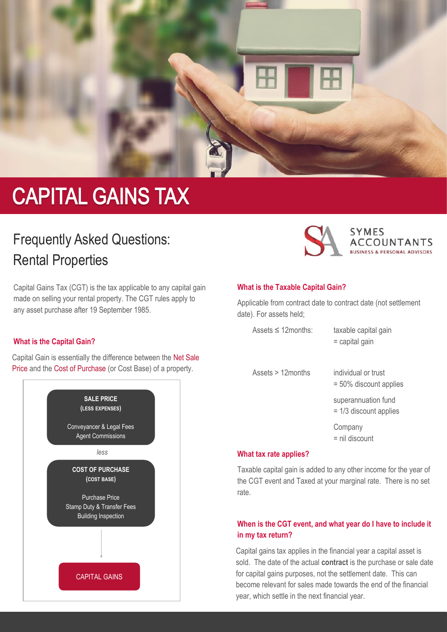

# **CAPITAL GAINS TAX**

## Frequently Asked Questions: Rental Properties

Capital Gains Tax (CGT) is the tax applicable to any capital gain made on selling your rental property. The CGT rules apply to any asset purchase after 19 September 1985.

#### **What is the Capital Gain?**

Capital Gain is essentially the difference between the Net Sale Price and the Cost of Purchase (or Cost Base) of a property.





#### **What is the Taxable Capital Gain?**

Applicable from contract date to contract date (not settlement date). For assets held;

| Assets $\leq$ 12 months: | taxable capital gain<br>$=$ capital gain         |
|--------------------------|--------------------------------------------------|
| Assets $> 12$ months     | individual or trust<br>$= 50\%$ discount applies |
|                          | superannuation fund<br>$= 1/3$ discount applies  |
|                          | Company<br>$=$ nil discount                      |

#### **What tax rate applies?**

Taxable capital gain is added to any other income for the year of the CGT event and Taxed at your marginal rate. There is no set rate.

#### **When is the CGT event, and what year do I have to include it in my tax return?**

Capital gains tax applies in the financial year a capital asset is sold. The date of the actual **contract** is the purchase or sale date for capital gains purposes, not the settlement date. This can become relevant for sales made towards the end of the financial year, which settle in the next financial year.